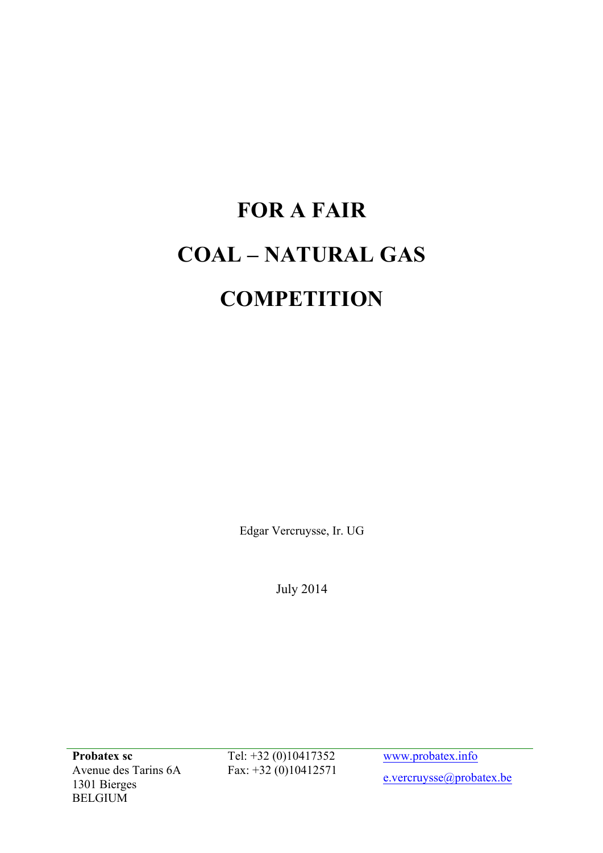# **FOR A FAIR COAL – NATURAL GAS COMPETITION**

Edgar Vercruysse, Ir. UG

July 2014

**Probatex sc** Avenue des Tarins 6A 1301 Bierges BELGIUM

Tel: +32 (0)10417352 Fax: +32 (0)10412571

www.probatex.info e.vercruysse@probatex.be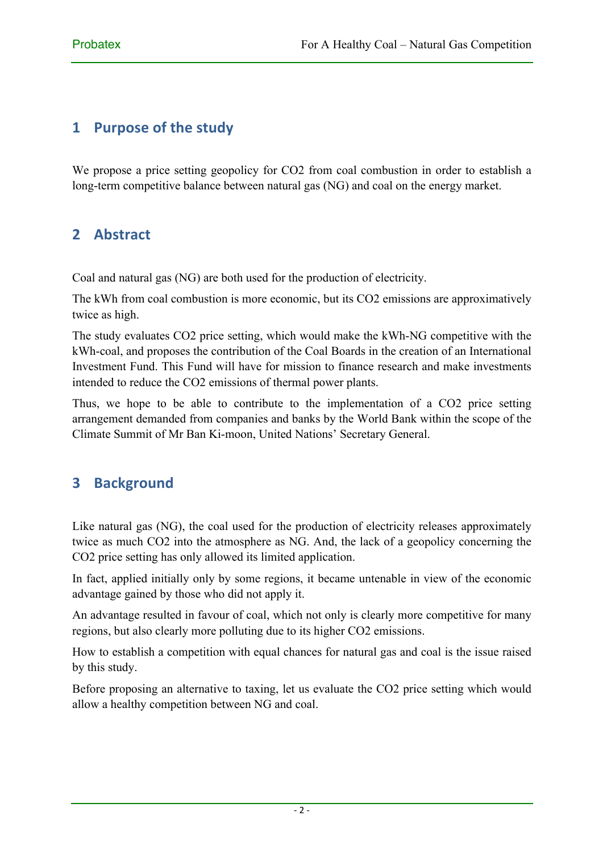# **1** Purpose of the study

We propose a price setting geopolicy for CO2 from coal combustion in order to establish a long-term competitive balance between natural gas (NG) and coal on the energy market.

# **2 Abstract**

Coal and natural gas (NG) are both used for the production of electricity.

The kWh from coal combustion is more economic, but its CO2 emissions are approximatively twice as high.

The study evaluates CO2 price setting, which would make the kWh-NG competitive with the kWh-coal, and proposes the contribution of the Coal Boards in the creation of an International Investment Fund. This Fund will have for mission to finance research and make investments intended to reduce the CO2 emissions of thermal power plants.

Thus, we hope to be able to contribute to the implementation of a CO2 price setting arrangement demanded from companies and banks by the World Bank within the scope of the Climate Summit of Mr Ban Ki-moon, United Nations' Secretary General.

# **3 Background**

Like natural gas (NG), the coal used for the production of electricity releases approximately twice as much CO2 into the atmosphere as NG. And, the lack of a geopolicy concerning the CO2 price setting has only allowed its limited application.

In fact, applied initially only by some regions, it became untenable in view of the economic advantage gained by those who did not apply it.

An advantage resulted in favour of coal, which not only is clearly more competitive for many regions, but also clearly more polluting due to its higher CO2 emissions.

How to establish a competition with equal chances for natural gas and coal is the issue raised by this study.

Before proposing an alternative to taxing, let us evaluate the CO2 price setting which would allow a healthy competition between NG and coal.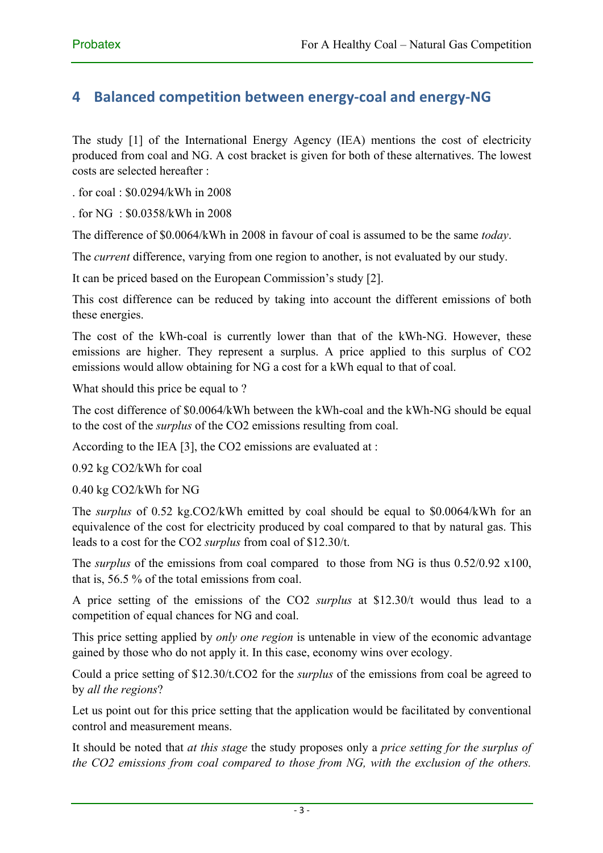### **4 Balanced competition between energy-coal and energy-NG**

The study [1] of the International Energy Agency (IEA) mentions the cost of electricity produced from coal and NG. A cost bracket is given for both of these alternatives. The lowest costs are selected hereafter :

. for coal : \$0.0294/kWh in 2008

. for NG : \$0.0358/kWh in 2008

The difference of \$0.0064/kWh in 2008 in favour of coal is assumed to be the same *today*.

The *current* difference, varying from one region to another, is not evaluated by our study.

It can be priced based on the European Commission's study [2].

This cost difference can be reduced by taking into account the different emissions of both these energies.

The cost of the kWh-coal is currently lower than that of the kWh-NG. However, these emissions are higher. They represent a surplus. A price applied to this surplus of CO2 emissions would allow obtaining for NG a cost for a kWh equal to that of coal.

What should this price be equal to ?

The cost difference of \$0.0064/kWh between the kWh-coal and the kWh-NG should be equal to the cost of the *surplus* of the CO2 emissions resulting from coal.

According to the IEA [3], the CO2 emissions are evaluated at :

0.92 kg CO2/kWh for coal

0.40 kg CO2/kWh for NG

The *surplus* of 0.52 kg.CO2/kWh emitted by coal should be equal to \$0.0064/kWh for an equivalence of the cost for electricity produced by coal compared to that by natural gas. This leads to a cost for the CO2 *surplus* from coal of \$12.30/t.

The *surplus* of the emissions from coal compared to those from NG is thus 0.52/0.92 x100, that is, 56.5 % of the total emissions from coal.

A price setting of the emissions of the CO2 *surplus* at \$12.30/t would thus lead to a competition of equal chances for NG and coal.

This price setting applied by *only one region* is untenable in view of the economic advantage gained by those who do not apply it. In this case, economy wins over ecology.

Could a price setting of \$12.30/t.CO2 for the *surplus* of the emissions from coal be agreed to by *all the regions*?

Let us point out for this price setting that the application would be facilitated by conventional control and measurement means.

It should be noted that *at this stage* the study proposes only a *price setting for the surplus of the CO2 emissions from coal compared to those from NG, with the exclusion of the others.*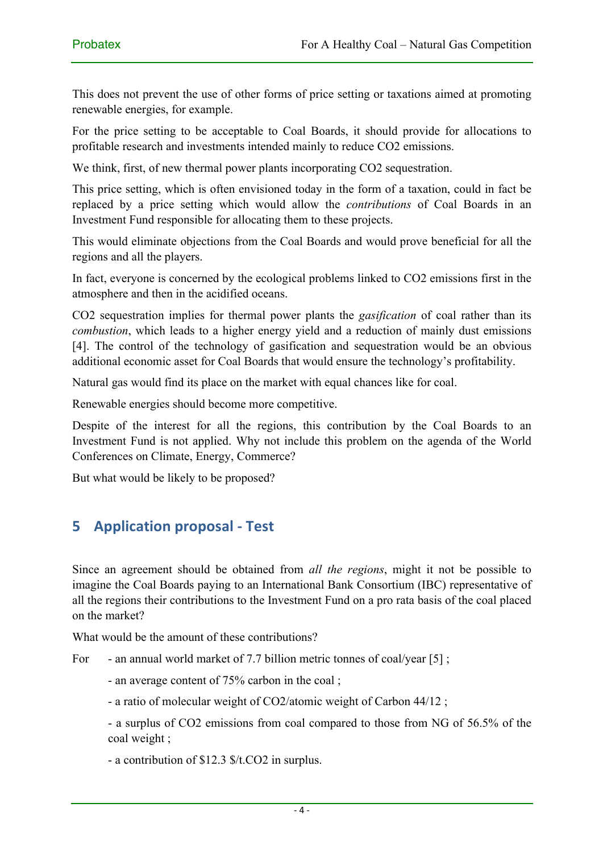This does not prevent the use of other forms of price setting or taxations aimed at promoting renewable energies, for example.

For the price setting to be acceptable to Coal Boards, it should provide for allocations to profitable research and investments intended mainly to reduce CO2 emissions.

We think, first, of new thermal power plants incorporating CO2 sequestration.

This price setting, which is often envisioned today in the form of a taxation, could in fact be replaced by a price setting which would allow the *contributions* of Coal Boards in an Investment Fund responsible for allocating them to these projects.

This would eliminate objections from the Coal Boards and would prove beneficial for all the regions and all the players.

In fact, everyone is concerned by the ecological problems linked to CO2 emissions first in the atmosphere and then in the acidified oceans.

CO2 sequestration implies for thermal power plants the *gasification* of coal rather than its *combustion*, which leads to a higher energy yield and a reduction of mainly dust emissions [4]. The control of the technology of gasification and sequestration would be an obvious additional economic asset for Coal Boards that would ensure the technology's profitability.

Natural gas would find its place on the market with equal chances like for coal.

Renewable energies should become more competitive.

Despite of the interest for all the regions, this contribution by the Coal Boards to an Investment Fund is not applied. Why not include this problem on the agenda of the World Conferences on Climate, Energy, Commerce?

But what would be likely to be proposed?

#### **5 Application proposal - Test**

Since an agreement should be obtained from *all the regions*, might it not be possible to imagine the Coal Boards paying to an International Bank Consortium (IBC) representative of all the regions their contributions to the Investment Fund on a pro rata basis of the coal placed on the market?

What would be the amount of these contributions?

For - an annual world market of 7.7 billion metric tonnes of coal/year [5];

- an average content of 75% carbon in the coal ;
- a ratio of molecular weight of CO2/atomic weight of Carbon 44/12 ;

- a surplus of CO2 emissions from coal compared to those from NG of 56.5% of the coal weight ;

- a contribution of \$12.3 \$/t.CO2 in surplus.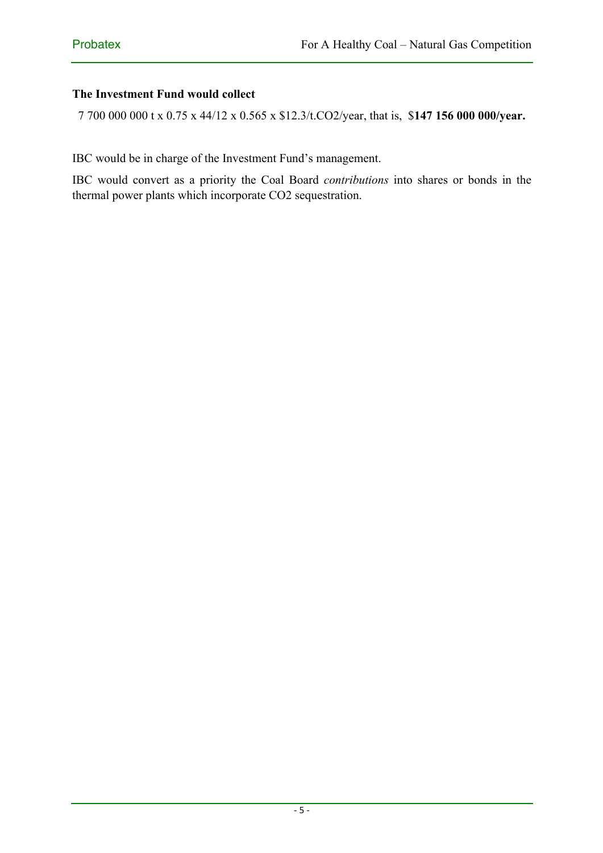#### **The Investment Fund would collect**

7 700 000 000 t x 0.75 x 44/12 x 0.565 x \$12.3/t.CO2/year, that is, \$**147 156 000 000/year.**

IBC would be in charge of the Investment Fund's management.

IBC would convert as a priority the Coal Board *contributions* into shares or bonds in the thermal power plants which incorporate CO2 sequestration.